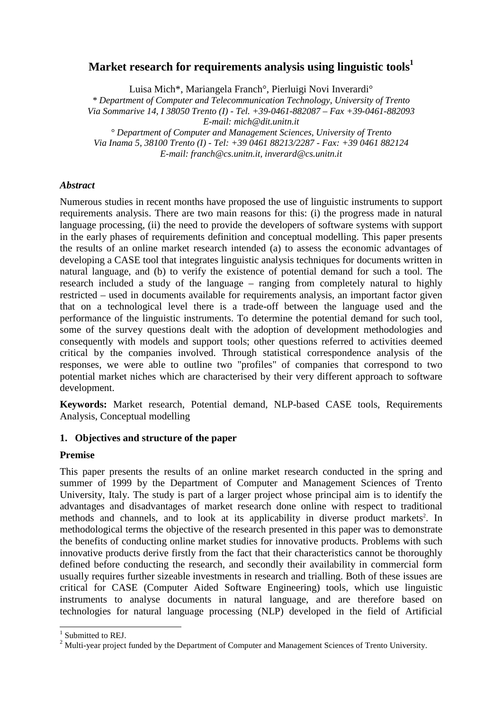# **Market research for requirements analysis using linguistic tools<sup>1</sup>**

Luisa Mich\*, Mariangela Franch°, Pierluigi Novi Inverardi°

*\* Department of Computer and Telecommunication Technology, University of Trento Via Sommarive 14, I 38050 Trento (I) - Tel. +39-0461-882087 – Fax +39-0461-882093 E-mail: mich@dit.unitn.it ° Department of Computer and Management Sciences, University of Trento Via Inama 5, 38100 Trento (I) - Tel: +39 0461 88213/2287 - Fax: +39 0461 882124* 

*E-mail: franch@cs.unitn.it, inverard@cs.unitn.it* 

## *Abstract*

Numerous studies in recent months have proposed the use of linguistic instruments to support requirements analysis. There are two main reasons for this: (i) the progress made in natural language processing, (ii) the need to provide the developers of software systems with support in the early phases of requirements definition and conceptual modelling. This paper presents the results of an online market research intended (a) to assess the economic advantages of developing a CASE tool that integrates linguistic analysis techniques for documents written in natural language, and (b) to verify the existence of potential demand for such a tool. The research included a study of the language – ranging from completely natural to highly restricted – used in documents available for requirements analysis, an important factor given that on a technological level there is a trade-off between the language used and the performance of the linguistic instruments. To determine the potential demand for such tool, some of the survey questions dealt with the adoption of development methodologies and consequently with models and support tools; other questions referred to activities deemed critical by the companies involved. Through statistical correspondence analysis of the responses, we were able to outline two "profiles" of companies that correspond to two potential market niches which are characterised by their very different approach to software development.

**Keywords:** Market research, Potential demand, NLP-based CASE tools, Requirements Analysis, Conceptual modelling

## **1. Objectives and structure of the paper**

### **Premise**

This paper presents the results of an online market research conducted in the spring and summer of 1999 by the Department of Computer and Management Sciences of Trento University, Italy. The study is part of a larger project whose principal aim is to identify the advantages and disadvantages of market research done online with respect to traditional methods and channels, and to look at its applicability in diverse product markets<sup>2</sup>. In methodological terms the objective of the research presented in this paper was to demonstrate the benefits of conducting online market studies for innovative products. Problems with such innovative products derive firstly from the fact that their characteristics cannot be thoroughly defined before conducting the research, and secondly their availability in commercial form usually requires further sizeable investments in research and trialling. Both of these issues are critical for CASE (Computer Aided Software Engineering) tools, which use linguistic instruments to analyse documents in natural language, and are therefore based on technologies for natural language processing (NLP) developed in the field of Artificial

 $\frac{1}{1}$  Submitted to REJ.

 $2$  Multi-year project funded by the Department of Computer and Management Sciences of Trento University.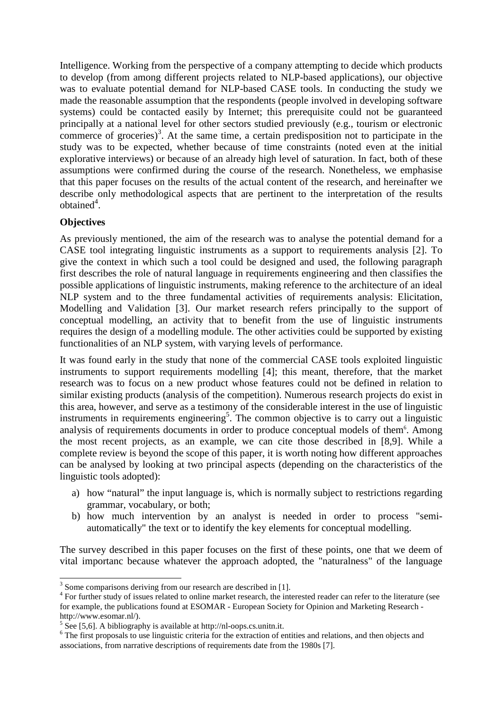Intelligence. Working from the perspective of a company attempting to decide which products to develop (from among different projects related to NLP-based applications), our objective was to evaluate potential demand for NLP-based CASE tools. In conducting the study we made the reasonable assumption that the respondents (people involved in developing software systems) could be contacted easily by Internet; this prerequisite could not be guaranteed principally at a national level for other sectors studied previously (e.g., tourism or electronic commerce of groceries)<sup>3</sup>. At the same time, a certain predisposition not to participate in the study was to be expected, whether because of time constraints (noted even at the initial explorative interviews) or because of an already high level of saturation. In fact, both of these assumptions were confirmed during the course of the research. Nonetheless, we emphasise that this paper focuses on the results of the actual content of the research, and hereinafter we describe only methodological aspects that are pertinent to the interpretation of the results  $obtained<sup>4</sup>$ .

## **Objectives**

As previously mentioned, the aim of the research was to analyse the potential demand for a CASE tool integrating linguistic instruments as a support to requirements analysis [2]. To give the context in which such a tool could be designed and used, the following paragraph first describes the role of natural language in requirements engineering and then classifies the possible applications of linguistic instruments, making reference to the architecture of an ideal NLP system and to the three fundamental activities of requirements analysis: Elicitation, Modelling and Validation [3]. Our market research refers principally to the support of conceptual modelling, an activity that to benefit from the use of linguistic instruments requires the design of a modelling module. The other activities could be supported by existing functionalities of an NLP system, with varying levels of performance.

It was found early in the study that none of the commercial CASE tools exploited linguistic instruments to support requirements modelling [4]; this meant, therefore, that the market research was to focus on a new product whose features could not be defined in relation to similar existing products (analysis of the competition). Numerous research projects do exist in this area, however, and serve as a testimony of the considerable interest in the use of linguistic instruments in requirements engineering<sup>5</sup>. The common objective is to carry out a linguistic analysis of requirements documents in order to produce conceptual models of them<sup>6</sup>. Among the most recent projects, as an example, we can cite those described in [8,9]. While a complete review is beyond the scope of this paper, it is worth noting how different approaches can be analysed by looking at two principal aspects (depending on the characteristics of the linguistic tools adopted):

- a) how "natural" the input language is, which is normally subject to restrictions regarding grammar, vocabulary, or both;
- b) how much intervention by an analyst is needed in order to process "semiautomatically" the text or to identify the key elements for conceptual modelling.

The survey described in this paper focuses on the first of these points, one that we deem of vital importanc because whatever the approach adopted, the "naturalness" of the language

<sup>&</sup>lt;sup>3</sup> Some comparisons deriving from our research are described in [1].

<sup>&</sup>lt;sup>4</sup> For further study of issues related to online market research, the interested reader can refer to the literature (see for example, the publications found at ESOMAR - European Society for Opinion and Marketing Research http://www.esomar.nl/).

 $<sup>5</sup>$  See [5,6]. A bibliography is available at http://nl-oops.cs.unitn.it.</sup>

<sup>&</sup>lt;sup>6</sup> The first proposals to use linguistic criteria for the extraction of entities and relations, and then objects and associations, from narrative descriptions of requirements date from the 1980s [7].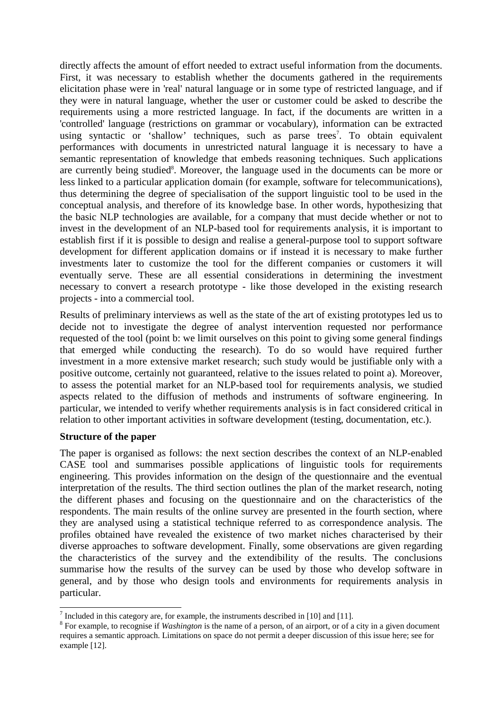directly affects the amount of effort needed to extract useful information from the documents. First, it was necessary to establish whether the documents gathered in the requirements elicitation phase were in 'real' natural language or in some type of restricted language, and if they were in natural language, whether the user or customer could be asked to describe the requirements using a more restricted language. In fact, if the documents are written in a 'controlled' language (restrictions on grammar or vocabulary), information can be extracted using syntactic or 'shallow' techniques, such as parse trees<sup>7</sup>. To obtain equivalent performances with documents in unrestricted natural language it is necessary to have a semantic representation of knowledge that embeds reasoning techniques. Such applications are currently being studied<sup>8</sup>. Moreover, the language used in the documents can be more or less linked to a particular application domain (for example, software for telecommunications), thus determining the degree of specialisation of the support linguistic tool to be used in the conceptual analysis, and therefore of its knowledge base. In other words, hypothesizing that the basic NLP technologies are available, for a company that must decide whether or not to invest in the development of an NLP-based tool for requirements analysis, it is important to establish first if it is possible to design and realise a general-purpose tool to support software development for different application domains or if instead it is necessary to make further investments later to customize the tool for the different companies or customers it will eventually serve. These are all essential considerations in determining the investment necessary to convert a research prototype - like those developed in the existing research projects - into a commercial tool.

Results of preliminary interviews as well as the state of the art of existing prototypes led us to decide not to investigate the degree of analyst intervention requested nor performance requested of the tool (point b: we limit ourselves on this point to giving some general findings that emerged while conducting the research). To do so would have required further investment in a more extensive market research; such study would be justifiable only with a positive outcome, certainly not guaranteed, relative to the issues related to point a). Moreover, to assess the potential market for an NLP-based tool for requirements analysis, we studied aspects related to the diffusion of methods and instruments of software engineering. In particular, we intended to verify whether requirements analysis is in fact considered critical in relation to other important activities in software development (testing, documentation, etc.).

### **Structure of the paper**

The paper is organised as follows: the next section describes the context of an NLP-enabled CASE tool and summarises possible applications of linguistic tools for requirements engineering. This provides information on the design of the questionnaire and the eventual interpretation of the results. The third section outlines the plan of the market research, noting the different phases and focusing on the questionnaire and on the characteristics of the respondents. The main results of the online survey are presented in the fourth section, where they are analysed using a statistical technique referred to as correspondence analysis. The profiles obtained have revealed the existence of two market niches characterised by their diverse approaches to software development. Finally, some observations are given regarding the characteristics of the survey and the extendibility of the results. The conclusions summarise how the results of the survey can be used by those who develop software in general, and by those who design tools and environments for requirements analysis in particular.

 $\frac{1}{7}$  Included in this category are, for example, the instruments described in [10] and [11].

<sup>&</sup>lt;sup>8</sup> For example, to recognise if *Washington* is the name of a person, of an airport, or of a city in a given document requires a semantic approach. Limitations on space do not permit a deeper discussion of this issue here; see for example [12].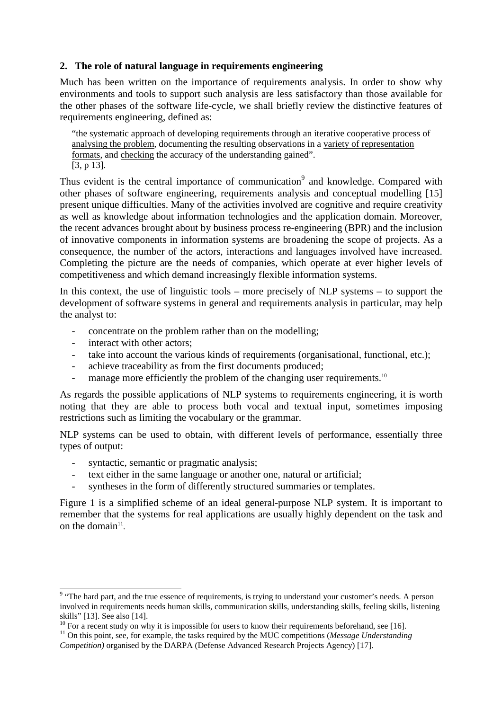## **2. The role of natural language in requirements engineering**

Much has been written on the importance of requirements analysis. In order to show why environments and tools to support such analysis are less satisfactory than those available for the other phases of the software life-cycle, we shall briefly review the distinctive features of requirements engineering, defined as:

"the systematic approach of developing requirements through an iterative cooperative process of analysing the problem, documenting the resulting observations in a variety of representation formats, and checking the accuracy of the understanding gained". [3, p 13].

Thus evident is the central importance of communication<sup>9</sup> and knowledge. Compared with other phases of software engineering, requirements analysis and conceptual modelling [15] present unique difficulties. Many of the activities involved are cognitive and require creativity as well as knowledge about information technologies and the application domain. Moreover, the recent advances brought about by business process re-engineering (BPR) and the inclusion of innovative components in information systems are broadening the scope of projects. As a consequence, the number of the actors, interactions and languages involved have increased. Completing the picture are the needs of companies, which operate at ever higher levels of competitiveness and which demand increasingly flexible information systems.

In this context, the use of linguistic tools – more precisely of NLP systems – to support the development of software systems in general and requirements analysis in particular, may help the analyst to:

- concentrate on the problem rather than on the modelling;
- interact with other actors:
- take into account the various kinds of requirements (organisational, functional, etc.);
- achieve traceability as from the first documents produced;
- manage more efficiently the problem of the changing user requirements.<sup>10</sup>

As regards the possible applications of NLP systems to requirements engineering, it is worth noting that they are able to process both vocal and textual input, sometimes imposing restrictions such as limiting the vocabulary or the grammar.

NLP systems can be used to obtain, with different levels of performance, essentially three types of output:

- syntactic, semantic or pragmatic analysis;
- text either in the same language or another one, natural or artificial;
- syntheses in the form of differently structured summaries or templates.

Figure 1 is a simplified scheme of an ideal general-purpose NLP system. It is important to remember that the systems for real applications are usually highly dependent on the task and on the domain $11$ .

<sup>&</sup>lt;sup>9</sup> "The hard part, and the true essence of requirements, is trying to understand your customer's needs. A person involved in requirements needs human skills, communication skills, understanding skills, feeling skills, listening skills" [13]. See also [14].

 $10$  For a recent study on why it is impossible for users to know their requirements beforehand, see [16].

<sup>&</sup>lt;sup>11</sup> On this point, see, for example, the tasks required by the MUC competitions (*Message Understanding* 

*Competition)* organised by the DARPA (Defense Advanced Research Projects Agency) [17].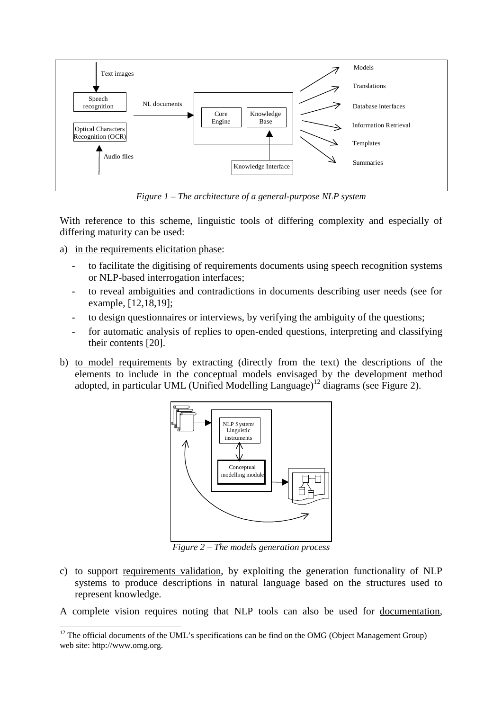

*Figure 1 – The architecture of a general-purpose NLP system* 

With reference to this scheme, linguistic tools of differing complexity and especially of differing maturity can be used:

a) in the requirements elicitation phase:

- to facilitate the digitising of requirements documents using speech recognition systems or NLP-based interrogation interfaces;
- to reveal ambiguities and contradictions in documents describing user needs (see for example, [12,18,19];
- to design questionnaires or interviews, by verifying the ambiguity of the questions;
- for automatic analysis of replies to open-ended questions, interpreting and classifying their contents [20].
- b) to model requirements by extracting (directly from the text) the descriptions of the elements to include in the conceptual models envisaged by the development method adopted, in particular UML (Unified Modelling Language)<sup>12</sup> diagrams (see Figure 2).



*Figure 2 – The models generation process* 

- c) to support requirements validation, by exploiting the generation functionality of NLP systems to produce descriptions in natural language based on the structures used to represent knowledge.
- A complete vision requires noting that NLP tools can also be used for documentation,

 $12$  The official documents of the UML's specifications can be find on the OMG (Object Management Group) web site: http://www.omg.org.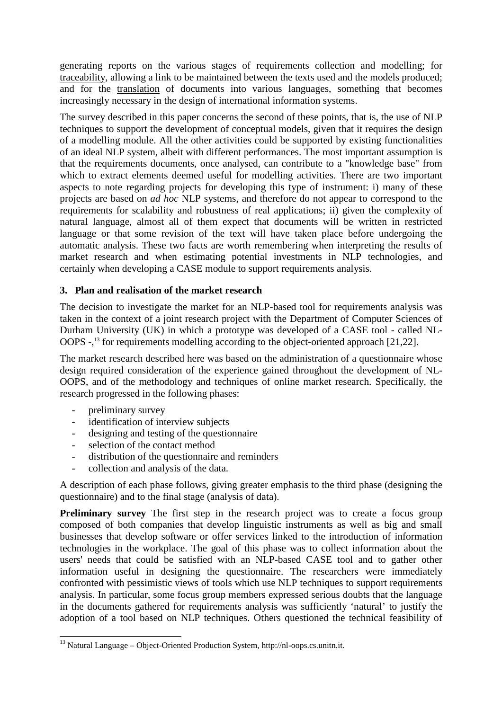generating reports on the various stages of requirements collection and modelling; for traceability, allowing a link to be maintained between the texts used and the models produced; and for the translation of documents into various languages, something that becomes increasingly necessary in the design of international information systems.

The survey described in this paper concerns the second of these points, that is, the use of NLP techniques to support the development of conceptual models, given that it requires the design of a modelling module. All the other activities could be supported by existing functionalities of an ideal NLP system, albeit with different performances. The most important assumption is that the requirements documents, once analysed, can contribute to a "knowledge base" from which to extract elements deemed useful for modelling activities. There are two important aspects to note regarding projects for developing this type of instrument: i) many of these projects are based on *ad hoc* NLP systems, and therefore do not appear to correspond to the requirements for scalability and robustness of real applications; ii) given the complexity of natural language, almost all of them expect that documents will be written in restricted language or that some revision of the text will have taken place before undergoing the automatic analysis. These two facts are worth remembering when interpreting the results of market research and when estimating potential investments in NLP technologies, and certainly when developing a CASE module to support requirements analysis.

## **3. Plan and realisation of the market research**

The decision to investigate the market for an NLP-based tool for requirements analysis was taken in the context of a joint research project with the Department of Computer Sciences of Durham University (UK) in which a prototype was developed of a CASE tool - called NL-OOPS -,<sup>13</sup> for requirements modelling according to the object-oriented approach [21,22].

The market research described here was based on the administration of a questionnaire whose design required consideration of the experience gained throughout the development of NL-OOPS, and of the methodology and techniques of online market research. Specifically, the research progressed in the following phases:

preliminary survey

 $\overline{a}$ 

- identification of interview subjects
- designing and testing of the questionnaire
- selection of the contact method
- distribution of the questionnaire and reminders
- collection and analysis of the data.

A description of each phase follows, giving greater emphasis to the third phase (designing the questionnaire) and to the final stage (analysis of data).

**Preliminary survey** The first step in the research project was to create a focus group composed of both companies that develop linguistic instruments as well as big and small businesses that develop software or offer services linked to the introduction of information technologies in the workplace. The goal of this phase was to collect information about the users' needs that could be satisfied with an NLP-based CASE tool and to gather other information useful in designing the questionnaire. The researchers were immediately confronted with pessimistic views of tools which use NLP techniques to support requirements analysis. In particular, some focus group members expressed serious doubts that the language in the documents gathered for requirements analysis was sufficiently 'natural' to justify the adoption of a tool based on NLP techniques. Others questioned the technical feasibility of

<sup>&</sup>lt;sup>13</sup> Natural Language – Object-Oriented Production System, http://nl-oops.cs.unitn.it.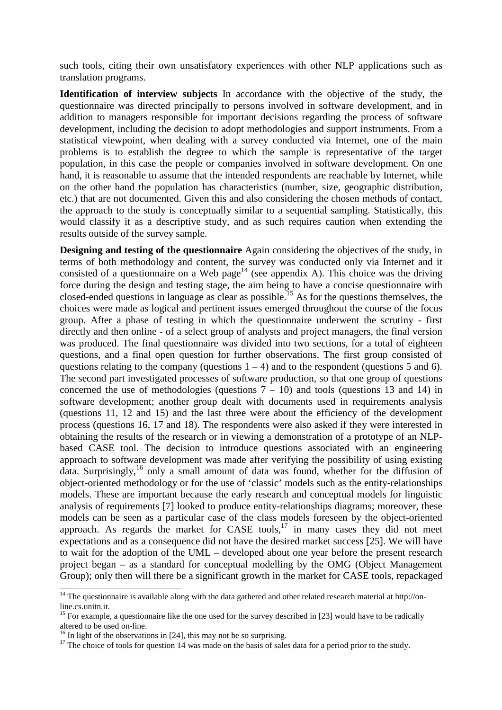such tools, citing their own unsatisfatory experiences with other NLP applications such as translation programs.

**Identification of interview subjects** In accordance with the objective of the study, the questionnaire was directed principally to persons involved in software development, and in addition to managers responsible for important decisions regarding the process of software development, including the decision to adopt methodologies and support instruments. From a statistical viewpoint, when dealing with a survey conducted via Internet, one of the main problems is to establish the degree to which the sample is representative of the target population, in this case the people or companies involved in software development. On one hand, it is reasonable to assume that the intended respondents are reachable by Internet, while on the other hand the population has characteristics (number, size, geographic distribution, etc.) that are not documented. Given this and also considering the chosen methods of contact, the approach to the study is conceptually similar to a sequential sampling. Statistically, this would classify it as a descriptive study, and as such requires caution when extending the results outside of the survey sample.

**Designing and testing of the questionnaire** Again considering the objectives of the study, in terms of both methodology and content, the survey was conducted only via Internet and it consisted of a questionnaire on a Web page<sup>14</sup> (see appendix A). This choice was the driving force during the design and testing stage, the aim being to have a concise questionnaire with closed-ended questions in language as clear as possible.<sup>15</sup> As for the questions themselves, the choices were made as logical and pertinent issues emerged throughout the course of the focus group. After a phase of testing in which the questionnaire underwent the scrutiny - first directly and then online - of a select group of analysts and project managers, the final version was produced. The final questionnaire was divided into two sections, for a total of eighteen questions, and a final open question for further observations. The first group consisted of questions relating to the company (questions  $1 - 4$ ) and to the respondent (questions 5 and 6). The second part investigated processes of software production, so that one group of questions concerned the use of methodologies (questions  $7 - 10$ ) and tools (questions 13 and 14) in software development; another group dealt with documents used in requirements analysis (questions 11, 12 and 15) and the last three were about the efficiency of the development process (questions 16, 17 and 18). The respondents were also asked if they were interested in obtaining the results of the research or in viewing a demonstration of a prototype of an NLPbased CASE tool. The decision to introduce questions associated with an engineering approach to software development was made after verifying the possibility of using existing data. Surprisingly,  $^{16}$  only a small amount of data was found, whether for the diffusion of object-oriented methodology or for the use of 'classic' models such as the entity-relationships models. These are important because the early research and conceptual models for linguistic analysis of requirements [7] looked to produce entity-relationships diagrams; moreover, these models can be seen as a particular case of the class models foreseen by the object-oriented approach. As regards the market for  $CASE\ tools$ ,<sup>17</sup> in many cases they did not meet expectations and as a consequence did not have the desired market success [25]. We will have to wait for the adoption of the UML – developed about one year before the present research project began – as a standard for conceptual modelling by the OMG (Object Management Group); only then will there be a significant growth in the market for CASE tools, repackaged

 $14$  The questionnaire is available along with the data gathered and other related research material at http://online.cs.unitn.it.

<sup>&</sup>lt;sup>15</sup> For example, a questionnaire like the one used for the survey described in [23] would have to be radically altered to be used on-line.

 $16$  In light of the observations in [24], this may not be so surprising.

<sup>&</sup>lt;sup>17</sup> The choice of tools for question 14 was made on the basis of sales data for a period prior to the study.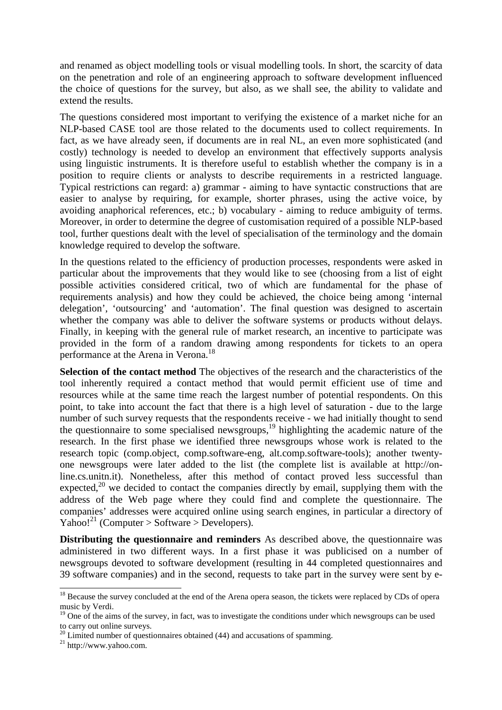and renamed as object modelling tools or visual modelling tools. In short, the scarcity of data on the penetration and role of an engineering approach to software development influenced the choice of questions for the survey, but also, as we shall see, the ability to validate and extend the results.

The questions considered most important to verifying the existence of a market niche for an NLP-based CASE tool are those related to the documents used to collect requirements. In fact, as we have already seen, if documents are in real NL, an even more sophisticated (and costly) technology is needed to develop an environment that effectively supports analysis using linguistic instruments. It is therefore useful to establish whether the company is in a position to require clients or analysts to describe requirements in a restricted language. Typical restrictions can regard: a) grammar - aiming to have syntactic constructions that are easier to analyse by requiring, for example, shorter phrases, using the active voice, by avoiding anaphorical references, etc.; b) vocabulary - aiming to reduce ambiguity of terms. Moreover, in order to determine the degree of customisation required of a possible NLP-based tool, further questions dealt with the level of specialisation of the terminology and the domain knowledge required to develop the software.

In the questions related to the efficiency of production processes, respondents were asked in particular about the improvements that they would like to see (choosing from a list of eight possible activities considered critical, two of which are fundamental for the phase of requirements analysis) and how they could be achieved, the choice being among 'internal delegation', 'outsourcing' and 'automation'. The final question was designed to ascertain whether the company was able to deliver the software systems or products without delays. Finally, in keeping with the general rule of market research, an incentive to participate was provided in the form of a random drawing among respondents for tickets to an opera performance at the Arena in Verona.<sup>18</sup>

**Selection of the contact method** The objectives of the research and the characteristics of the tool inherently required a contact method that would permit efficient use of time and resources while at the same time reach the largest number of potential respondents. On this point, to take into account the fact that there is a high level of saturation - due to the large number of such survey requests that the respondents receive - we had initially thought to send the questionnaire to some specialised newsgroups, $^{19}$  highlighting the academic nature of the research. In the first phase we identified three newsgroups whose work is related to the research topic (comp.object, comp.software-eng, alt.comp.software-tools); another twentyone newsgroups were later added to the list (the complete list is available at http://online.cs.unitn.it). Nonetheless, after this method of contact proved less successful than expected,<sup>20</sup> we decided to contact the companies directly by email, supplying them with the address of the Web page where they could find and complete the questionnaire. The companies' addresses were acquired online using search engines, in particular a directory of  $Yahoo!^{21}$  (Computer > Software > Developers).

**Distributing the questionnaire and reminders** As described above, the questionnaire was administered in two different ways. In a first phase it was publicised on a number of newsgroups devoted to software development (resulting in 44 completed questionnaires and 39 software companies) and in the second, requests to take part in the survey were sent by e-

<sup>&</sup>lt;sup>18</sup> Because the survey concluded at the end of the Arena opera season, the tickets were replaced by CDs of opera music by Verdi.

 $19$  One of the aims of the survey, in fact, was to investigate the conditions under which newsgroups can be used to carry out online surveys.

 $20$  Limited number of questionnaires obtained (44) and accusations of spamming.

 $^{21}$  http://www.yahoo.com.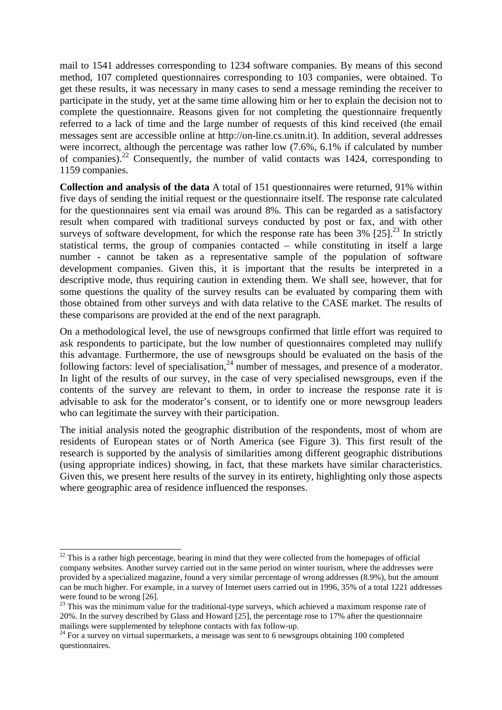mail to 1541 addresses corresponding to 1234 software companies. By means of this second method, 107 completed questionnaires corresponding to 103 companies, were obtained. To get these results, it was necessary in many cases to send a message reminding the receiver to participate in the study, yet at the same time allowing him or her to explain the decision not to complete the questionnaire. Reasons given for not completing the questionnaire frequently referred to a lack of time and the large number of requests of this kind received (the email messages sent are accessible online at http://on-line.cs.unitn.it). In addition, several addresses were incorrect, although the percentage was rather low (7.6%, 6.1% if calculated by number of companies).<sup>22</sup> Consequently, the number of valid contacts was 1424, corresponding to 1159 companies.

**Collection and analysis of the data** A total of 151 questionnaires were returned, 91% within five days of sending the initial request or the questionnaire itself. The response rate calculated for the questionnaires sent via email was around 8%. This can be regarded as a satisfactory result when compared with traditional surveys conducted by post or fax, and with other surveys of software development, for which the response rate has been  $3\%$  [25].<sup>23</sup> In strictly statistical terms, the group of companies contacted – while constituting in itself a large number - cannot be taken as a representative sample of the population of software development companies. Given this, it is important that the results be interpreted in a descriptive mode, thus requiring caution in extending them. We shall see, however, that for some questions the quality of the survey results can be evaluated by comparing them with those obtained from other surveys and with data relative to the CASE market. The results of these comparisons are provided at the end of the next paragraph.

On a methodological level, the use of newsgroups confirmed that little effort was required to ask respondents to participate, but the low number of questionnaires completed may nullify this advantage. Furthermore, the use of newsgroups should be evaluated on the basis of the following factors: level of specialisation,  $^{24}$  number of messages, and presence of a moderator. In light of the results of our survey, in the case of very specialised newsgroups, even if the contents of the survey are relevant to them, in order to increase the response rate it is advisable to ask for the moderator's consent, or to identify one or more newsgroup leaders who can legitimate the survey with their participation.

The initial analysis noted the geographic distribution of the respondents, most of whom are residents of European states or of North America (see Figure 3). This first result of the research is supported by the analysis of similarities among different geographic distributions (using appropriate indices) showing, in fact, that these markets have similar characteristics. Given this, we present here results of the survey in its entirety, highlighting only those aspects where geographic area of residence influenced the responses.

 $22$  This is a rather high percentage, bearing in mind that they were collected from the homepages of official company websites. Another survey carried out in the same period on winter tourism, where the addresses were provided by a specialized magazine, found a very similar percentage of wrong addresses (8.9%), but the amount can be much higher. For example, in a survey of Internet users carried out in 1996, 35% of a total 1221 addresses were found to be wrong [26].

<sup>&</sup>lt;sup>23</sup> This was the minimum value for the traditional-type surveys, which achieved a maximum response rate of 20%. In the survey described by Glass and Howard [25], the percentage rose to 17% after the questionnaire mailings were supplemented by telephone contacts with fax follow-up.

<sup>&</sup>lt;sup>24</sup> For a survey on virtual supermarkets, a message was sent to 6 newsgroups obtaining 100 completed questionnaires.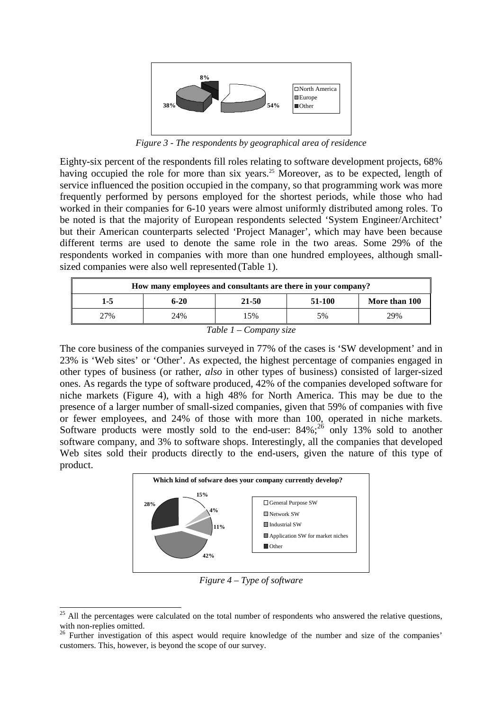

*Figure 3 - The respondents by geographical area of residence* 

Eighty-six percent of the respondents fill roles relating to software development projects, 68% having occupied the role for more than six years.<sup>25</sup> Moreover, as to be expected, length of service influenced the position occupied in the company, so that programming work was more frequently performed by persons employed for the shortest periods, while those who had worked in their companies for 6-10 years were almost uniformly distributed among roles. To be noted is that the majority of European respondents selected 'System Engineer/Architect' but their American counterparts selected 'Project Manager', which may have been because different terms are used to denote the same role in the two areas. Some 29% of the respondents worked in companies with more than one hundred employees, although smallsized companies were also well represented (Table 1).

| How many employees and consultants are there in your company? |          |       |        |               |  |  |
|---------------------------------------------------------------|----------|-------|--------|---------------|--|--|
| 1-5                                                           | $6 - 20$ | 21-50 | 51-100 | More than 100 |  |  |
| 27%                                                           | 24%      | 15%   | 5%     | 29%           |  |  |
| T11                                                           |          |       |        |               |  |  |

*Table 1 – Company size*

The core business of the companies surveyed in 77% of the cases is 'SW development' and in 23% is 'Web sites' or 'Other'. As expected, the highest percentage of companies engaged in other types of business (or rather, *also* in other types of business) consisted of larger-sized ones. As regards the type of software produced, 42% of the companies developed software for niche markets (Figure 4), with a high 48% for North America. This may be due to the presence of a larger number of small-sized companies, given that 59% of companies with five or fewer employees, and 24% of those with more than 100, operated in niche markets. Software products were mostly sold to the end-user:  $84\%$ ;  $^{26}$  only 13% sold to another software company, and 3% to software shops. Interestingly, all the companies that developed Web sites sold their products directly to the end-users, given the nature of this type of product.



*Figure 4 – Type of software*

 $\overline{a}$  $^{25}$  All the percentages were calculated on the total number of respondents who answered the relative questions, with non-replies omitted.

Further investigation of this aspect would require knowledge of the number and size of the companies' customers. This, however, is beyond the scope of our survey.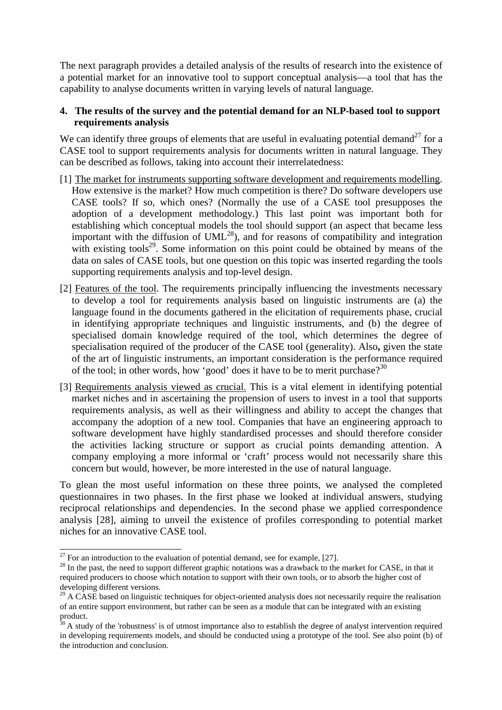The next paragraph provides a detailed analysis of the results of research into the existence of a potential market for an innovative tool to support conceptual analysis—a tool that has the capability to analyse documents written in varying levels of natural language.

## **4. The results of the survey and the potential demand for an NLP-based tool to support requirements analysis**

We can identify three groups of elements that are useful in evaluating potential demand<sup>27</sup> for a CASE tool to support requirements analysis for documents written in natural language. They can be described as follows, taking into account their interrelatedness:

- [1] The market for instruments supporting software development and requirements modelling. How extensive is the market? How much competition is there? Do software developers use CASE tools? If so, which ones? (Normally the use of a CASE tool presupposes the adoption of a development methodology.) This last point was important both for establishing which conceptual models the tool should support (an aspect that became less important with the diffusion of  $UML^{28}$ ), and for reasons of compatibility and integration with existing tools<sup>29</sup>. Some information on this point could be obtained by means of the data on sales of CASE tools, but one question on this topic was inserted regarding the tools supporting requirements analysis and top-level design.
- [2] Features of the tool. The requirements principally influencing the investments necessary to develop a tool for requirements analysis based on linguistic instruments are (a) the language found in the documents gathered in the elicitation of requirements phase, crucial in identifying appropriate techniques and linguistic instruments, and (b) the degree of specialised domain knowledge required of the tool, which determines the degree of specialisation required of the producer of the CASE tool (generality). Also**,** given the state of the art of linguistic instruments, an important consideration is the performance required of the tool; in other words, how 'good' does it have to be to merit purchase?<sup>30</sup>
- [3] Requirements analysis viewed as crucial. This is a vital element in identifying potential market niches and in ascertaining the propension of users to invest in a tool that supports requirements analysis, as well as their willingness and ability to accept the changes that accompany the adoption of a new tool. Companies that have an engineering approach to software development have highly standardised processes and should therefore consider the activities lacking structure or support as crucial points demanding attention. A company employing a more informal or 'craft' process would not necessarily share this concern but would, however, be more interested in the use of natural language.

To glean the most useful information on these three points, we analysed the completed questionnaires in two phases. In the first phase we looked at individual answers, studying reciprocal relationships and dependencies. In the second phase we applied correspondence analysis [28], aiming to unveil the existence of profiles corresponding to potential market niches for an innovative CASE tool.

 $27$  For an introduction to the evaluation of potential demand, see for example, [27].

<sup>&</sup>lt;sup>28</sup> In the past, the need to support different graphic notations was a drawback to the market for CASE, in that it required producers to choose which notation to support with their own tools, or to absorb the higher cost of developing different versions.

<sup>&</sup>lt;sup>29</sup> A CASE based on linguistic techniques for object-oriented analysis does not necessarily require the realisation of an entire support environment, but rather can be seen as a module that can be integrated with an existing product.

 $30$  A study of the 'robustness' is of utmost importance also to establish the degree of analyst intervention required in developing requirements models, and should be conducted using a prototype of the tool. See also point (b) of the introduction and conclusion.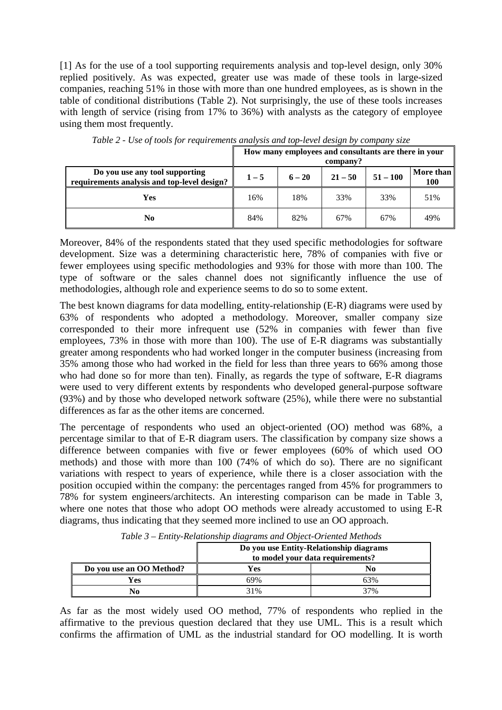[1] As for the use of a tool supporting requirements analysis and top-level design, only 30% replied positively. As was expected, greater use was made of these tools in large-sized companies, reaching 51% in those with more than one hundred employees, as is shown in the table of conditional distributions (Table 2). Not surprisingly, the use of these tools increases with length of service (rising from 17% to 36%) with analysts as the category of employee using them most frequently.

|                                                                               | How many employees and consultants are there in your<br>company? |          |           |            |                         |  |
|-------------------------------------------------------------------------------|------------------------------------------------------------------|----------|-----------|------------|-------------------------|--|
| Do you use any tool supporting<br>requirements analysis and top-level design? | $1 - 5$                                                          | $6 - 20$ | $21 - 50$ | $51 - 100$ | More than<br><b>100</b> |  |
| Yes                                                                           | 16%                                                              | 18%      | 33%       | 33%        | 51%                     |  |
| No                                                                            | 84%                                                              | 82%      | 67%       | 67%        | 49%                     |  |

*Table 2 - Use of tools for requirements analysis and top-level design by company size* 

Moreover, 84% of the respondents stated that they used specific methodologies for software development. Size was a determining characteristic here, 78% of companies with five or fewer employees using specific methodologies and 93% for those with more than 100. The type of software or the sales channel does not significantly influence the use of methodologies, although role and experience seems to do so to some extent.

The best known diagrams for data modelling, entity-relationship (E-R) diagrams were used by 63% of respondents who adopted a methodology. Moreover, smaller company size corresponded to their more infrequent use (52% in companies with fewer than five employees, 73% in those with more than 100). The use of E-R diagrams was substantially greater among respondents who had worked longer in the computer business (increasing from 35% among those who had worked in the field for less than three years to 66% among those who had done so for more than ten). Finally, as regards the type of software, E-R diagrams were used to very different extents by respondents who developed general-purpose software (93%) and by those who developed network software (25%), while there were no substantial differences as far as the other items are concerned.

The percentage of respondents who used an object-oriented (OO) method was 68%, a percentage similar to that of E-R diagram users. The classification by company size shows a difference between companies with five or fewer employees (60% of which used OO methods) and those with more than 100 (74% of which do so). There are no significant variations with respect to years of experience, while there is a closer association with the position occupied within the company: the percentages ranged from 45% for programmers to 78% for system engineers/architects. An interesting comparison can be made in Table 3, where one notes that those who adopt OO methods were already accustomed to using E-R diagrams, thus indicating that they seemed more inclined to use an OO approach.

|                          | Do you use Entity-Relationship diagrams<br>to model your data requirements? |     |  |
|--------------------------|-----------------------------------------------------------------------------|-----|--|
| Do you use an OO Method? | Yes                                                                         | No  |  |
| Yes                      | 59%                                                                         | 63% |  |
|                          | 31%                                                                         | 37% |  |

*Table 3 – Entity-Relationship diagrams and Object-Oriented Methods* 

As far as the most widely used OO method, 77% of respondents who replied in the affirmative to the previous question declared that they use UML. This is a result which confirms the affirmation of UML as the industrial standard for OO modelling. It is worth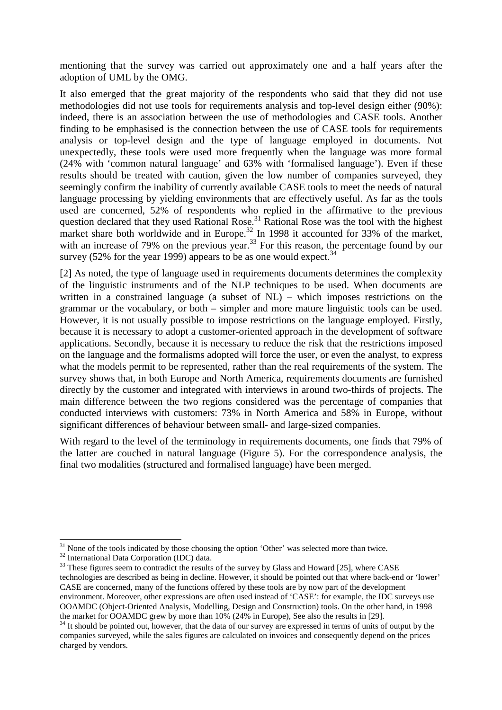mentioning that the survey was carried out approximately one and a half years after the adoption of UML by the OMG.

It also emerged that the great majority of the respondents who said that they did not use methodologies did not use tools for requirements analysis and top-level design either (90%): indeed, there is an association between the use of methodologies and CASE tools. Another finding to be emphasised is the connection between the use of CASE tools for requirements analysis or top-level design and the type of language employed in documents. Not unexpectedly, these tools were used more frequently when the language was more formal (24% with 'common natural language' and 63% with 'formalised language'). Even if these results should be treated with caution, given the low number of companies surveyed, they seemingly confirm the inability of currently available CASE tools to meet the needs of natural language processing by yielding environments that are effectively useful. As far as the tools used are concerned, 52% of respondents who replied in the affirmative to the previous question declared that they used Rational Rose.<sup>31</sup> Rational Rose was the tool with the highest market share both worldwide and in Europe.<sup>32</sup> In 1998 it accounted for 33% of the market, with an increase of 79% on the previous year.<sup>33</sup> For this reason, the percentage found by our survey (52% for the year 1999) appears to be as one would expect.  $34$ 

[2] As noted, the type of language used in requirements documents determines the complexity of the linguistic instruments and of the NLP techniques to be used. When documents are written in a constrained language (a subset of NL) – which imposes restrictions on the grammar or the vocabulary, or both – simpler and more mature linguistic tools can be used. However, it is not usually possible to impose restrictions on the language employed. Firstly, because it is necessary to adopt a customer-oriented approach in the development of software applications. Secondly, because it is necessary to reduce the risk that the restrictions imposed on the language and the formalisms adopted will force the user, or even the analyst, to express what the models permit to be represented, rather than the real requirements of the system. The survey shows that, in both Europe and North America, requirements documents are furnished directly by the customer and integrated with interviews in around two-thirds of projects. The main difference between the two regions considered was the percentage of companies that conducted interviews with customers: 73% in North America and 58% in Europe, without significant differences of behaviour between small- and large-sized companies.

With regard to the level of the terminology in requirements documents, one finds that 79% of the latter are couched in natural language (Figure 5). For the correspondence analysis, the final two modalities (structured and formalised language) have been merged.

<sup>&</sup>lt;sup>31</sup> None of the tools indicated by those choosing the option 'Other' was selected more than twice.

<sup>32</sup> International Data Corporation (IDC) data.

<sup>&</sup>lt;sup>33</sup> These figures seem to contradict the results of the survey by Glass and Howard [25], where CASE technologies are described as being in decline. However, it should be pointed out that where back-end or 'lower' CASE are concerned, many of the functions offered by these tools are by now part of the development environment. Moreover, other expressions are often used instead of 'CASE': for example, the IDC surveys use OOAMDC (Object-Oriented Analysis, Modelling, Design and Construction) tools. On the other hand, in 1998 the market for OOAMDC grew by more than 10% (24% in Europe), See also the results in [29].

<sup>&</sup>lt;sup>34</sup> It should be pointed out, however, that the data of our survey are expressed in terms of units of output by the companies surveyed, while the sales figures are calculated on invoices and consequently depend on the prices charged by vendors.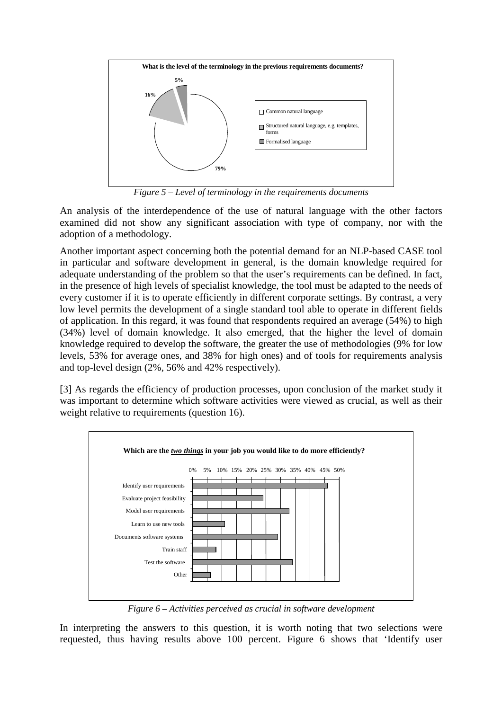

*Figure 5 – Level of terminology in the requirements documents* 

An analysis of the interdependence of the use of natural language with the other factors examined did not show any significant association with type of company, nor with the adoption of a methodology.

Another important aspect concerning both the potential demand for an NLP-based CASE tool in particular and software development in general, is the domain knowledge required for adequate understanding of the problem so that the user's requirements can be defined. In fact, in the presence of high levels of specialist knowledge, the tool must be adapted to the needs of every customer if it is to operate efficiently in different corporate settings. By contrast, a very low level permits the development of a single standard tool able to operate in different fields of application. In this regard, it was found that respondents required an average (54%) to high (34%) level of domain knowledge. It also emerged, that the higher the level of domain knowledge required to develop the software, the greater the use of methodologies (9% for low levels, 53% for average ones, and 38% for high ones) and of tools for requirements analysis and top-level design (2%, 56% and 42% respectively).

[3] As regards the efficiency of production processes, upon conclusion of the market study it was important to determine which software activities were viewed as crucial, as well as their weight relative to requirements (question 16).



*Figure 6 – Activities perceived as crucial in software development* 

In interpreting the answers to this question, it is worth noting that two selections were requested, thus having results above 100 percent. Figure 6 shows that 'Identify user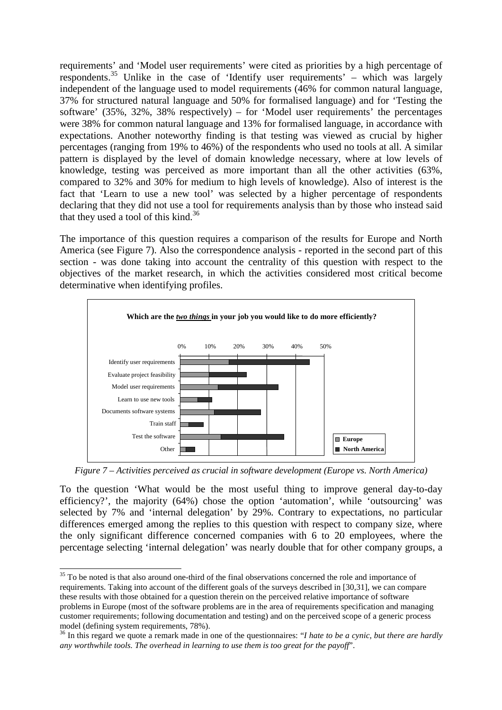requirements' and 'Model user requirements' were cited as priorities by a high percentage of respondents.<sup>35</sup> Unlike in the case of 'Identify user requirements' – which was largely independent of the language used to model requirements (46% for common natural language, 37% for structured natural language and 50% for formalised language) and for 'Testing the software' (35%, 32%, 38% respectively) – for 'Model user requirements' the percentages were 38% for common natural language and 13% for formalised language, in accordance with expectations. Another noteworthy finding is that testing was viewed as crucial by higher percentages (ranging from 19% to 46%) of the respondents who used no tools at all. A similar pattern is displayed by the level of domain knowledge necessary, where at low levels of knowledge, testing was perceived as more important than all the other activities (63%, compared to 32% and 30% for medium to high levels of knowledge). Also of interest is the fact that 'Learn to use a new tool' was selected by a higher percentage of respondents declaring that they did not use a tool for requirements analysis than by those who instead said that they used a tool of this kind. $36$ 

The importance of this question requires a comparison of the results for Europe and North America (see Figure 7). Also the correspondence analysis - reported in the second part of this section - was done taking into account the centrality of this question with respect to the objectives of the market research, in which the activities considered most critical become determinative when identifying profiles.



*Figure 7 – Activities perceived as crucial in software development (Europe vs. North America)* 

To the question 'What would be the most useful thing to improve general day-to-day efficiency?', the majority (64%) chose the option 'automation', while 'outsourcing' was selected by 7% and 'internal delegation' by 29%. Contrary to expectations, no particular differences emerged among the replies to this question with respect to company size, where the only significant difference concerned companies with 6 to 20 employees, where the percentage selecting 'internal delegation' was nearly double that for other company groups, a

<sup>&</sup>lt;sup>35</sup> To be noted is that also around one-third of the final observations concerned the role and importance of requirements. Taking into account of the different goals of the surveys described in [30,31], we can compare these results with those obtained for a question therein on the perceived relative importance of software problems in Europe (most of the software problems are in the area of requirements specification and managing customer requirements; following documentation and testing) and on the perceived scope of a generic process model (defining system requirements, 78%).

<sup>36</sup> In this regard we quote a remark made in one of the questionnaires: "*I hate to be a cynic, but there are hardly any worthwhile tools. The overhead in learning to use them is too great for the payoff*".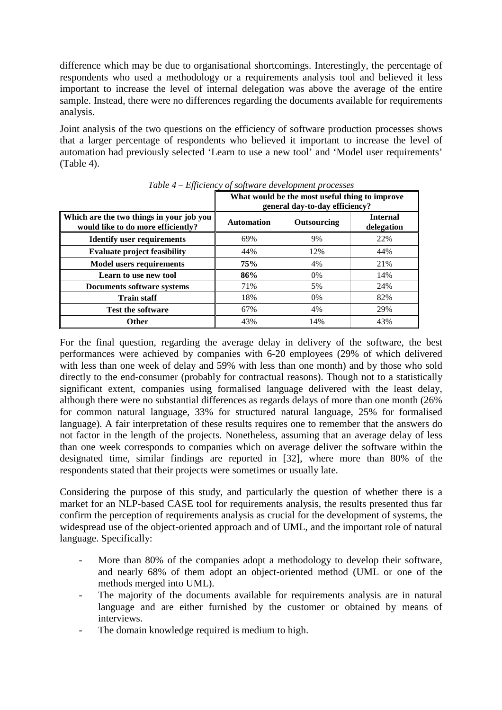difference which may be due to organisational shortcomings. Interestingly, the percentage of respondents who used a methodology or a requirements analysis tool and believed it less important to increase the level of internal delegation was above the average of the entire sample. Instead, there were no differences regarding the documents available for requirements analysis.

Joint analysis of the two questions on the efficiency of software production processes shows that a larger percentage of respondents who believed it important to increase the level of automation had previously selected 'Learn to use a new tool' and 'Model user requirements' (Table 4).

|                                                                                | What would be the most useful thing to improve<br>general day-to-day efficiency? |                    |                               |  |  |
|--------------------------------------------------------------------------------|----------------------------------------------------------------------------------|--------------------|-------------------------------|--|--|
| Which are the two things in your job you<br>would like to do more efficiently? | <b>Automation</b>                                                                | <b>Outsourcing</b> | <b>Internal</b><br>delegation |  |  |
| <b>Identify user requirements</b>                                              | 69%                                                                              | 9%                 | 22%                           |  |  |
| <b>Evaluate project feasibility</b>                                            | 44%                                                                              | 12%                | 44%                           |  |  |
| <b>Model users requirements</b>                                                | <b>75%</b>                                                                       | 4%                 | 21%                           |  |  |
| <b>Learn to use new tool</b>                                                   | 86%                                                                              | $0\%$              | 14%                           |  |  |
| Documents software systems                                                     | 71%                                                                              | 5%                 | 24%                           |  |  |
| <b>Train staff</b>                                                             | 18%                                                                              | $0\%$              | 82%                           |  |  |
| <b>Test the software</b>                                                       | 67%                                                                              | 4%                 | 29%                           |  |  |
| <b>Other</b>                                                                   | 43%                                                                              | 14%                | 43%                           |  |  |

*Table 4 – Efficiency of software development processes* 

For the final question, regarding the average delay in delivery of the software, the best performances were achieved by companies with 6-20 employees (29% of which delivered with less than one week of delay and 59% with less than one month) and by those who sold directly to the end-consumer (probably for contractual reasons). Though not to a statistically significant extent, companies using formalised language delivered with the least delay, although there were no substantial differences as regards delays of more than one month (26% for common natural language, 33% for structured natural language, 25% for formalised language). A fair interpretation of these results requires one to remember that the answers do not factor in the length of the projects. Nonetheless, assuming that an average delay of less than one week corresponds to companies which on average deliver the software within the designated time, similar findings are reported in [32], where more than 80% of the respondents stated that their projects were sometimes or usually late.

Considering the purpose of this study, and particularly the question of whether there is a market for an NLP-based CASE tool for requirements analysis, the results presented thus far confirm the perception of requirements analysis as crucial for the development of systems, the widespread use of the object-oriented approach and of UML, and the important role of natural language. Specifically:

- More than 80% of the companies adopt a methodology to develop their software, and nearly 68% of them adopt an object-oriented method (UML or one of the methods merged into UML).
- The majority of the documents available for requirements analysis are in natural language and are either furnished by the customer or obtained by means of interviews.
- The domain knowledge required is medium to high.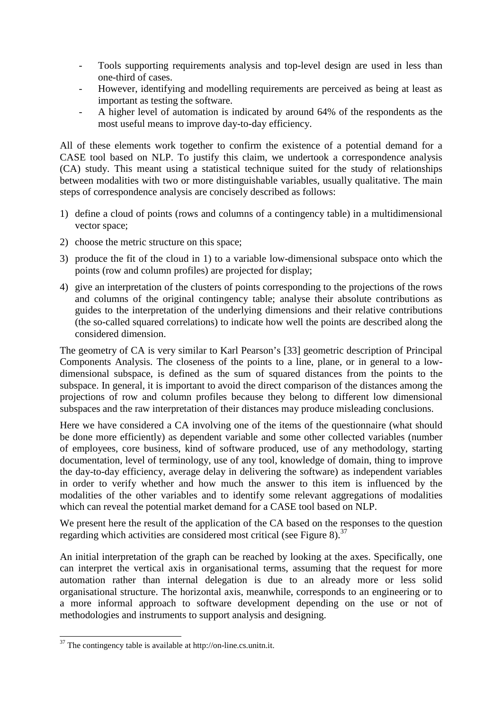- Tools supporting requirements analysis and top-level design are used in less than one-third of cases.
- However, identifying and modelling requirements are perceived as being at least as important as testing the software.
- A higher level of automation is indicated by around 64% of the respondents as the most useful means to improve day-to-day efficiency.

All of these elements work together to confirm the existence of a potential demand for a CASE tool based on NLP. To justify this claim, we undertook a correspondence analysis (CA) study. This meant using a statistical technique suited for the study of relationships between modalities with two or more distinguishable variables, usually qualitative. The main steps of correspondence analysis are concisely described as follows:

- 1) define a cloud of points (rows and columns of a contingency table) in a multidimensional vector space;
- 2) choose the metric structure on this space;
- 3) produce the fit of the cloud in 1) to a variable low-dimensional subspace onto which the points (row and column profiles) are projected for display;
- 4) give an interpretation of the clusters of points corresponding to the projections of the rows and columns of the original contingency table; analyse their absolute contributions as guides to the interpretation of the underlying dimensions and their relative contributions (the so-called squared correlations) to indicate how well the points are described along the considered dimension.

The geometry of CA is very similar to Karl Pearson's [33] geometric description of Principal Components Analysis. The closeness of the points to a line, plane, or in general to a lowdimensional subspace, is defined as the sum of squared distances from the points to the subspace. In general, it is important to avoid the direct comparison of the distances among the projections of row and column profiles because they belong to different low dimensional subspaces and the raw interpretation of their distances may produce misleading conclusions.

Here we have considered a CA involving one of the items of the questionnaire (what should be done more efficiently) as dependent variable and some other collected variables (number of employees, core business, kind of software produced, use of any methodology, starting documentation, level of terminology, use of any tool, knowledge of domain, thing to improve the day-to-day efficiency, average delay in delivering the software) as independent variables in order to verify whether and how much the answer to this item is influenced by the modalities of the other variables and to identify some relevant aggregations of modalities which can reveal the potential market demand for a CASE tool based on NLP.

We present here the result of the application of the CA based on the responses to the question regarding which activities are considered most critical (see Figure 8).<sup>37</sup>

An initial interpretation of the graph can be reached by looking at the axes. Specifically, one can interpret the vertical axis in organisational terms, assuming that the request for more automation rather than internal delegation is due to an already more or less solid organisational structure. The horizontal axis, meanwhile, corresponds to an engineering or to a more informal approach to software development depending on the use or not of methodologies and instruments to support analysis and designing.

 $37$  The contingency table is available at http://on-line.cs.unitn.it.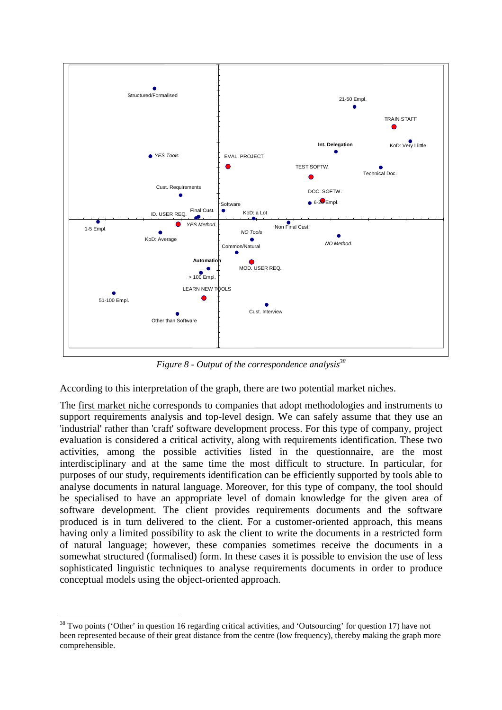

*Figure 8 - Output of the correspondence analysis<sup>38</sup>*

According to this interpretation of the graph, there are two potential market niches.

The first market niche corresponds to companies that adopt methodologies and instruments to support requirements analysis and top-level design. We can safely assume that they use an 'industrial' rather than 'craft' software development process. For this type of company, project evaluation is considered a critical activity, along with requirements identification. These two activities, among the possible activities listed in the questionnaire, are the most interdisciplinary and at the same time the most difficult to structure. In particular, for purposes of our study, requirements identification can be efficiently supported by tools able to analyse documents in natural language. Moreover, for this type of company, the tool should be specialised to have an appropriate level of domain knowledge for the given area of software development. The client provides requirements documents and the software produced is in turn delivered to the client. For a customer-oriented approach, this means having only a limited possibility to ask the client to write the documents in a restricted form of natural language; however, these companies sometimes receive the documents in a somewhat structured (formalised) form. In these cases it is possible to envision the use of less sophisticated linguistic techniques to analyse requirements documents in order to produce conceptual models using the object-oriented approach.

 $\overline{a}$  $38$  Two points ('Other' in question 16 regarding critical activities, and 'Outsourcing' for question 17) have not been represented because of their great distance from the centre (low frequency), thereby making the graph more comprehensible.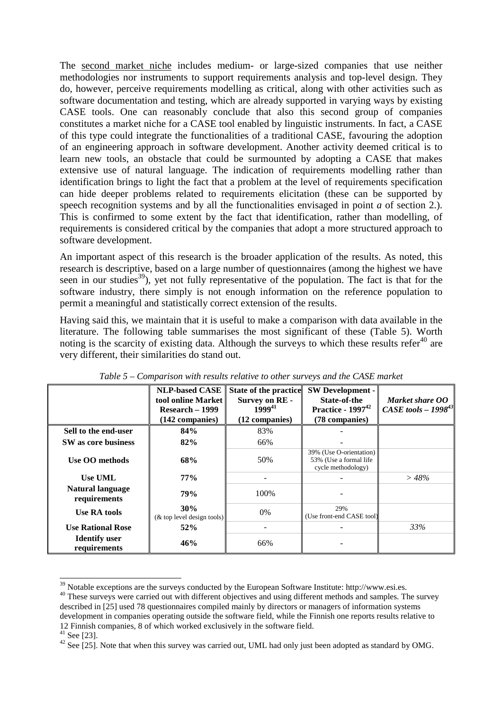The second market niche includes medium- or large-sized companies that use neither methodologies nor instruments to support requirements analysis and top-level design. They do, however, perceive requirements modelling as critical, along with other activities such as software documentation and testing, which are already supported in varying ways by existing CASE tools. One can reasonably conclude that also this second group of companies constitutes a market niche for a CASE tool enabled by linguistic instruments. In fact, a CASE of this type could integrate the functionalities of a traditional CASE, favouring the adoption of an engineering approach in software development. Another activity deemed critical is to learn new tools, an obstacle that could be surmounted by adopting a CASE that makes extensive use of natural language. The indication of requirements modelling rather than identification brings to light the fact that a problem at the level of requirements specification can hide deeper problems related to requirements elicitation (these can be supported by speech recognition systems and by all the functionalities envisaged in point *a* of section 2.). This is confirmed to some extent by the fact that identification, rather than modelling, of requirements is considered critical by the companies that adopt a more structured approach to software development.

An important aspect of this research is the broader application of the results. As noted, this research is descriptive, based on a large number of questionnaires (among the highest we have seen in our studies<sup>39</sup>), yet not fully representative of the population. The fact is that for the software industry, there simply is not enough information on the reference population to permit a meaningful and statistically correct extension of the results.

Having said this, we maintain that it is useful to make a comparison with data available in the literature. The following table summarises the most significant of these (Table 5). Worth noting is the scarcity of existing data. Although the surveys to which these results refer $40$  are very different, their similarities do stand out.

|                                         | <b>NLP-based CASE</b><br>tool online Market<br>$Research - 1999$<br>(142 companies) | State of the practice<br><b>Survey on RE-</b><br>199941<br>(12 companies) | <b>SW Development -</b><br>State-of-the<br>Practice - $1997^{42}$<br>(78 companies) | Market share OO<br>$CASE \ tools - 1998^{43}$ |
|-----------------------------------------|-------------------------------------------------------------------------------------|---------------------------------------------------------------------------|-------------------------------------------------------------------------------------|-----------------------------------------------|
| Sell to the end-user                    | 84%                                                                                 | 83%                                                                       |                                                                                     |                                               |
| SW as core business                     | 82%                                                                                 | 66%                                                                       |                                                                                     |                                               |
| Use OO methods                          | 68%                                                                                 | 50%                                                                       | 39% (Use O-orientation)<br>53% (Use a formal life<br>cycle methodology)             |                                               |
| <b>Use UML</b>                          | 77%                                                                                 |                                                                           |                                                                                     | >48%                                          |
| <b>Natural language</b><br>requirements | 79%                                                                                 | 100\%                                                                     |                                                                                     |                                               |
| <b>Use RA tools</b>                     | 30%<br>$(\&$ top level design tools)                                                | $0\%$                                                                     | 29%<br>(Use front-end CASE tool)                                                    |                                               |
| <b>Use Rational Rose</b>                | 52%                                                                                 |                                                                           |                                                                                     | 33%                                           |
| <b>Identify</b> user<br>requirements    | 46%                                                                                 | 66%                                                                       |                                                                                     |                                               |

*Table 5 – Comparison with results relative to other surveys and the CASE market* 

 $39$  Notable exceptions are the surveys conducted by the European Software Institute: http://www.esi.es.

<sup>&</sup>lt;sup>40</sup> These surveys were carried out with different objectives and using different methods and samples. The survey described in [25] used 78 questionnaires compiled mainly by directors or managers of information systems development in companies operating outside the software field, while the Finnish one reports results relative to 12 Finnish companies, 8 of which worked exclusively in the software field.

 $^{12}$  + ...

 $42$  See [25]. Note that when this survey was carried out, UML had only just been adopted as standard by OMG.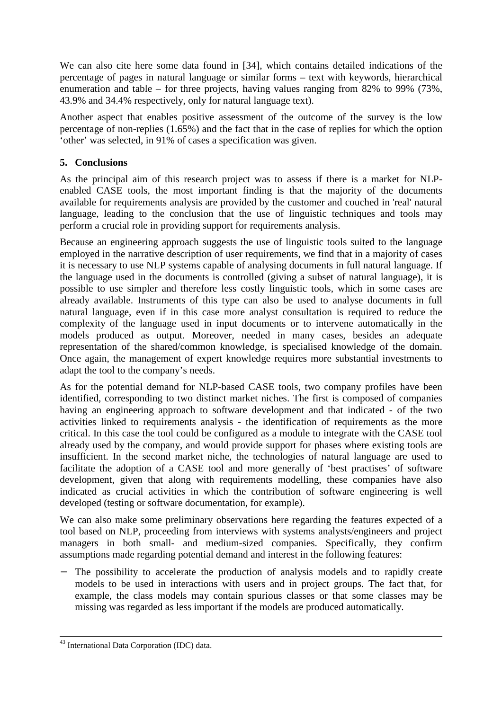We can also cite here some data found in [34], which contains detailed indications of the percentage of pages in natural language or similar forms – text with keywords, hierarchical enumeration and table – for three projects, having values ranging from 82% to 99% (73%, 43.9% and 34.4% respectively, only for natural language text).

Another aspect that enables positive assessment of the outcome of the survey is the low percentage of non-replies (1.65%) and the fact that in the case of replies for which the option 'other' was selected, in 91% of cases a specification was given.

## **5. Conclusions**

As the principal aim of this research project was to assess if there is a market for NLPenabled CASE tools, the most important finding is that the majority of the documents available for requirements analysis are provided by the customer and couched in 'real' natural language, leading to the conclusion that the use of linguistic techniques and tools may perform a crucial role in providing support for requirements analysis.

Because an engineering approach suggests the use of linguistic tools suited to the language employed in the narrative description of user requirements, we find that in a majority of cases it is necessary to use NLP systems capable of analysing documents in full natural language. If the language used in the documents is controlled (giving a subset of natural language), it is possible to use simpler and therefore less costly linguistic tools, which in some cases are already available. Instruments of this type can also be used to analyse documents in full natural language, even if in this case more analyst consultation is required to reduce the complexity of the language used in input documents or to intervene automatically in the models produced as output. Moreover, needed in many cases, besides an adequate representation of the shared/common knowledge, is specialised knowledge of the domain. Once again, the management of expert knowledge requires more substantial investments to adapt the tool to the company's needs.

As for the potential demand for NLP-based CASE tools, two company profiles have been identified, corresponding to two distinct market niches. The first is composed of companies having an engineering approach to software development and that indicated - of the two activities linked to requirements analysis - the identification of requirements as the more critical. In this case the tool could be configured as a module to integrate with the CASE tool already used by the company, and would provide support for phases where existing tools are insufficient. In the second market niche, the technologies of natural language are used to facilitate the adoption of a CASE tool and more generally of 'best practises' of software development, given that along with requirements modelling, these companies have also indicated as crucial activities in which the contribution of software engineering is well developed (testing or software documentation, for example).

We can also make some preliminary observations here regarding the features expected of a tool based on NLP, proceeding from interviews with systems analysts/engineers and project managers in both small- and medium-sized companies. Specifically, they confirm assumptions made regarding potential demand and interest in the following features:

− The possibility to accelerate the production of analysis models and to rapidly create models to be used in interactions with users and in project groups. The fact that, for example, the class models may contain spurious classes or that some classes may be missing was regarded as less important if the models are produced automatically.

<sup>&</sup>lt;sup>43</sup> International Data Corporation (IDC) data.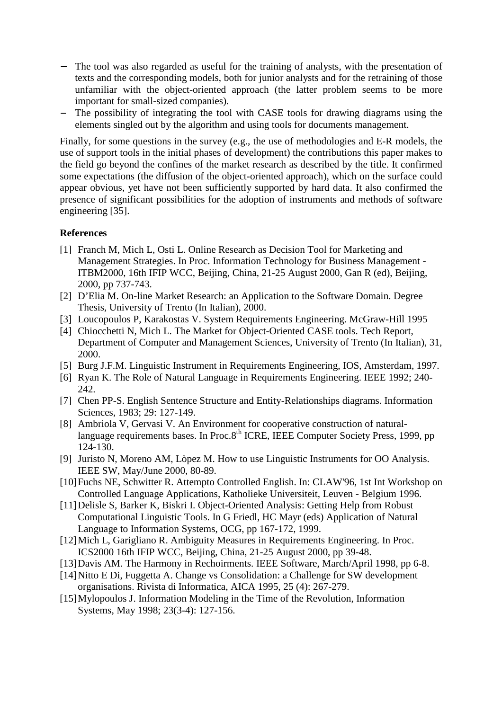- The tool was also regarded as useful for the training of analysts, with the presentation of texts and the corresponding models, both for junior analysts and for the retraining of those unfamiliar with the object-oriented approach (the latter problem seems to be more important for small-sized companies).
- The possibility of integrating the tool with CASE tools for drawing diagrams using the elements singled out by the algorithm and using tools for documents management.

Finally, for some questions in the survey (e.g., the use of methodologies and E-R models, the use of support tools in the initial phases of development) the contributions this paper makes to the field go beyond the confines of the market research as described by the title. It confirmed some expectations (the diffusion of the object-oriented approach), which on the surface could appear obvious, yet have not been sufficiently supported by hard data. It also confirmed the presence of significant possibilities for the adoption of instruments and methods of software engineering [35].

## **References**

- [1] Franch M, Mich L, Osti L. Online Research as Decision Tool for Marketing and Management Strategies. In Proc. Information Technology for Business Management - ITBM2000, 16th IFIP WCC, Beijing, China, 21-25 August 2000, Gan R (ed), Beijing, 2000, pp 737-743.
- [2] D'Elia M. On-line Market Research: an Application to the Software Domain. Degree Thesis, University of Trento (In Italian), 2000.
- [3] Loucopoulos P, Karakostas V. System Requirements Engineering. McGraw-Hill 1995
- [4] Chiocchetti N, Mich L. The Market for Object-Oriented CASE tools. Tech Report, Department of Computer and Management Sciences, University of Trento (In Italian), 31, 2000.
- [5] Burg J.F.M. Linguistic Instrument in Requirements Engineering, IOS, Amsterdam, 1997.
- [6] Ryan K. The Role of Natural Language in Requirements Engineering. IEEE 1992; 240- 242.
- [7] Chen PP-S. English Sentence Structure and Entity-Relationships diagrams. Information Sciences, 1983; 29: 127-149.
- [8] Ambriola V, Gervasi V. An Environment for cooperative construction of naturallanguage requirements bases. In Proc.8<sup>th</sup> ICRE, IEEE Computer Society Press, 1999, pp 124-130.
- [9] Juristo N, Moreno AM, Lòpez M. How to use Linguistic Instruments for OO Analysis. IEEE SW, May/June 2000, 80-89.
- [10] Fuchs NE, Schwitter R. Attempto Controlled English. In: CLAW'96, 1st Int Workshop on Controlled Language Applications, Katholieke Universiteit, Leuven - Belgium 1996.
- [11] Delisle S, Barker K, Biskri I. Object-Oriented Analysis: Getting Help from Robust Computational Linguistic Tools. In G Friedl, HC Mayr (eds) Application of Natural Language to Information Systems, OCG, pp 167-172, 1999.
- [12] Mich L, Garigliano R. Ambiguity Measures in Requirements Engineering. In Proc. ICS2000 16th IFIP WCC, Beijing, China, 21-25 August 2000, pp 39-48.
- [13] Davis AM. The Harmony in Rechoirments. IEEE Software, March/April 1998, pp 6-8.
- [14] Nitto E Di, Fuggetta A. Change vs Consolidation: a Challenge for SW development organisations. Rivista di Informatica, AICA 1995, 25 (4): 267-279.
- [15] Mylopoulos J. Information Modeling in the Time of the Revolution, Information Systems, May 1998; 23(3-4): 127-156.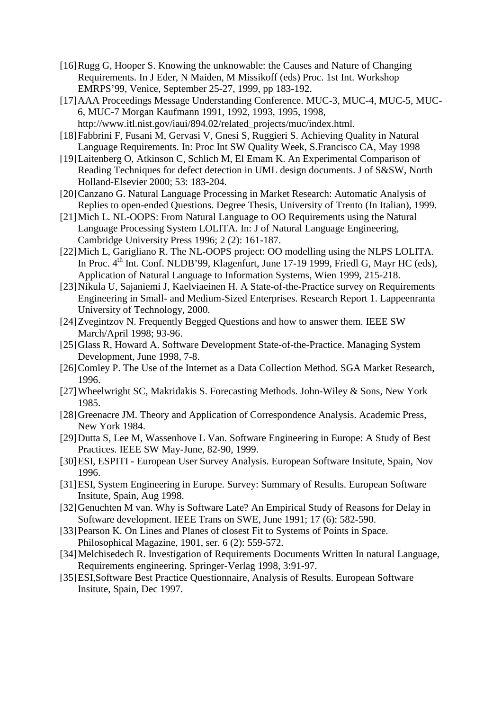- [16] Rugg G, Hooper S. Knowing the unknowable: the Causes and Nature of Changing Requirements. In J Eder, N Maiden, M Missikoff (eds) Proc. 1st Int. Workshop EMRPS'99, Venice, September 25-27, 1999, pp 183-192.
- [17] AAA Proceedings Message Understanding Conference. MUC-3, MUC-4, MUC-5, MUC-6, MUC-7 Morgan Kaufmann 1991, 1992, 1993, 1995, 1998, http://www.itl.nist.gov/iaui/894.02/related\_projects/muc/index.html.
- [18] Fabbrini F, Fusani M, Gervasi V, Gnesi S, Ruggieri S. Achieving Quality in Natural Language Requirements. In: Proc Int SW Quality Week, S.Francisco CA, May 1998
- [19] Laitenberg O, Atkinson C, Schlich M, El Emam K. An Experimental Comparison of Reading Techniques for defect detection in UML design documents. J of S&SW, North Holland-Elsevier 2000; 53: 183-204.
- [20] Canzano G. Natural Language Processing in Market Research: Automatic Analysis of Replies to open-ended Questions. Degree Thesis, University of Trento (In Italian), 1999.
- [21] Mich L. NL-OOPS: From Natural Language to OO Requirements using the Natural Language Processing System LOLITA. In: J of Natural Language Engineering, Cambridge University Press 1996; 2 (2): 161-187.
- [22] Mich L, Garigliano R. The NL-OOPS project: OO modelling using the NLPS LOLITA. In Proc. 4<sup>th</sup> Int. Conf. NLDB'99, Klagenfurt, June 17-19 1999, Friedl G, Mayr HC (eds), Application of Natural Language to Information Systems, Wien 1999, 215-218.
- [23] Nikula U, Sajaniemi J, Kaelviaeinen H. A State-of-the-Practice survey on Requirements Engineering in Small- and Medium-Sized Enterprises. Research Report 1. Lappeenranta University of Technology, 2000.
- [24] Zvegintzov N. Frequently Begged Questions and how to answer them. IEEE SW March/April 1998; 93-96.
- [25] Glass R, Howard A. Software Development State-of-the-Practice. Managing System Development, June 1998, 7-8.
- [26] Comley P. The Use of the Internet as a Data Collection Method. SGA Market Research, 1996.
- [27] Wheelwright SC, Makridakis S. Forecasting Methods. John-Wiley & Sons, New York 1985.
- [28] Greenacre JM. Theory and Application of Correspondence Analysis. Academic Press, New York 1984.
- [29] Dutta S, Lee M, Wassenhove L Van. Software Engineering in Europe: A Study of Best Practices. IEEE SW May-June, 82-90, 1999.
- [30] ESI, ESPITI European User Survey Analysis. European Software Insitute, Spain, Nov 1996.
- [31] ESI, System Engineering in Europe. Survey: Summary of Results. European Software Insitute, Spain, Aug 1998.
- [32] Genuchten M van. Why is Software Late? An Empirical Study of Reasons for Delay in Software development. IEEE Trans on SWE, June 1991; 17 (6): 582-590.
- [33] Pearson K. On Lines and Planes of closest Fit to Systems of Points in Space. Philosophical Magazine, 1901, ser. 6 (2): 559-572.
- [34] Melchisedech R. Investigation of Requirements Documents Written In natural Language, Requirements engineering. Springer-Verlag 1998, 3:91-97.
- [35] ESI,Software Best Practice Questionnaire, Analysis of Results. European Software Insitute, Spain, Dec 1997.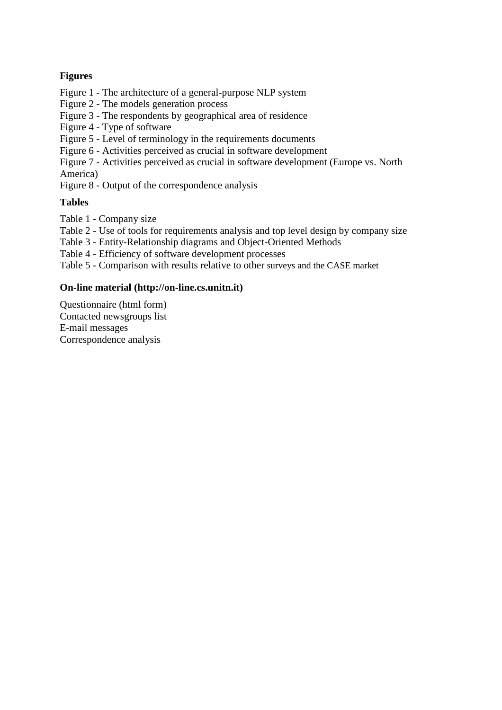## **Figures**

- Figure 1 The architecture of a general-purpose NLP system
- Figure 2 The models generation process
- Figure 3 The respondents by geographical area of residence
- Figure 4 Type of software
- Figure 5 Level of terminology in the requirements documents
- Figure 6 Activities perceived as crucial in software development
- Figure 7 Activities perceived as crucial in software development (Europe vs. North

America)

Figure 8 - Output of the correspondence analysis

## **Tables**

Table 1 - Company size

- Table 2 Use of tools for requirements analysis and top level design by company size
- Table 3 Entity-Relationship diagrams and Object-Oriented Methods
- Table 4 Efficiency of software development processes
- Table 5 Comparison with results relative to other surveys and the CASE market

## **On-line material (http://on-line.cs.unitn.it)**

Questionnaire (html form) Contacted newsgroups list E-mail messages Correspondence analysis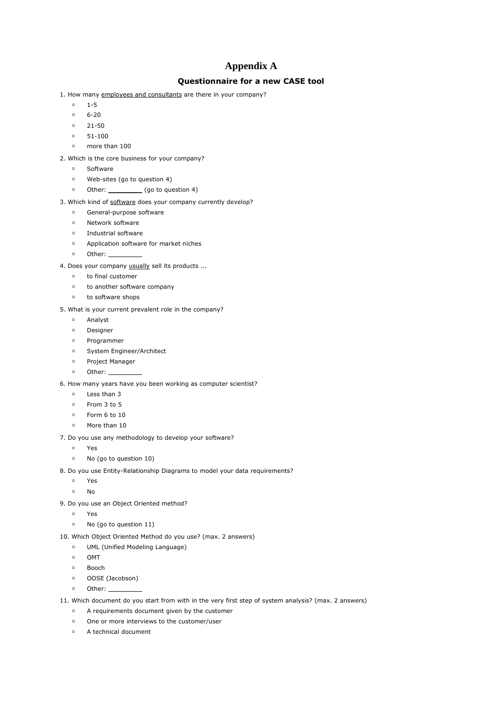## **Appendix A**

#### **Questionnaire for a new CASE tool**

1. How many employees and consultants are there in your company?

- o 1-5
- o 6-20
- o 21-50
- o 51-100
- o more than 100

2. Which is the core business for your company?

- o Software
- o Web-sites (go to question 4)
- o Other: \_\_\_\_\_\_\_\_\_ (go to question 4)
- 3. Which kind of software does your company currently develop?
	- o General-purpose software
	- o Network software
	- o Industrial software
	- o Application software for market niches
	- o Other: \_\_\_\_\_\_\_\_\_
- 4. Does your company usually sell its products ...
	- o to final customer
	- o to another software company
	- o to software shops
- 5. What is your current prevalent role in the company?
	- o Analyst
	- o Designer
	- o Programmer
	- o System Engineer/Architect
	- o Project Manager
	- o Other: \_\_\_\_\_\_\_\_\_

6. How many years have you been working as computer scientist?

- o Less than 3
- o From 3 to 5
- o Form 6 to 10
- o More than 10
- 7. Do you use any methodology to develop your software?
	- o Yes
	- o No (go to question 10)
- 8. Do you use Entity-Relationship Diagrams to model your data requirements?
	- o Yes
	- o No
- 9. Do you use an Object Oriented method?
	- o Yes
	- o No (go to question 11)
- 10. Which Object Oriented Method do you use? (max. 2 answers)
	- o UML (Unified Modeling Language)
	- o OMT
	- o Booch
	- o OOSE (Jacobson)
	- o Other:
- 11. Which document do you start from with in the very first step of system analysis? (max. 2 answers)
	- o A requirements document given by the customer
	- o One or more interviews to the customer/user
	- o A technical document